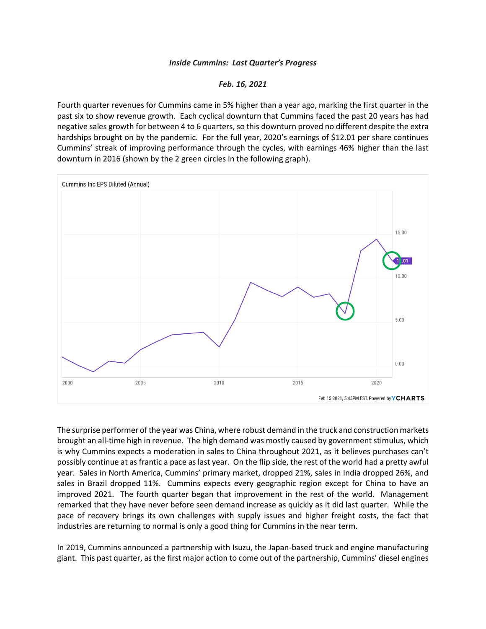## *Inside Cummins: Last Quarter's Progress*

## *Feb. 16, 2021*

Fourth quarter revenues for Cummins came in 5% higher than a year ago, marking the first quarter in the past six to show revenue growth. Each cyclical downturn that Cummins faced the past 20 years has had negative sales growth for between 4 to 6 quarters, so this downturn proved no different despite the extra hardships brought on by the pandemic. For the full year, 2020's earnings of \$12.01 per share continues Cummins' streak of improving performance through the cycles, with earnings 46% higher than the last downturn in 2016 (shown by the 2 green circles in the following graph).



The surprise performer of the year was China, where robust demand in the truck and construction markets brought an all-time high in revenue. The high demand was mostly caused by government stimulus, which is why Cummins expects a moderation in sales to China throughout 2021, as it believes purchases can't possibly continue at as frantic a pace as last year. On the flip side, the rest of the world had a pretty awful year. Sales in North America, Cummins' primary market, dropped 21%, sales in India dropped 26%, and sales in Brazil dropped 11%. Cummins expects every geographic region except for China to have an improved 2021. The fourth quarter began that improvement in the rest of the world. Management remarked that they have never before seen demand increase as quickly as it did last quarter. While the pace of recovery brings its own challenges with supply issues and higher freight costs, the fact that industries are returning to normal is only a good thing for Cummins in the near term.

In 2019, Cummins announced a partnership with Isuzu, the Japan-based truck and engine manufacturing giant. This past quarter, as the first major action to come out of the partnership, Cummins' diesel engines